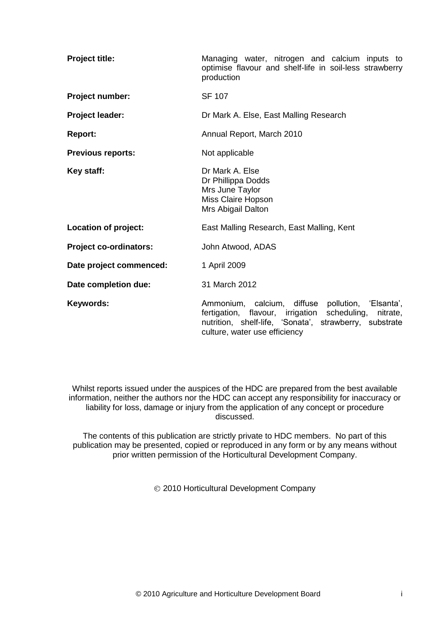| <b>Project title:</b>         | Managing water, nitrogen and calcium inputs to<br>optimise flavour and shelf-life in soil-less strawberry<br>production                                                                                       |  |  |  |  |
|-------------------------------|---------------------------------------------------------------------------------------------------------------------------------------------------------------------------------------------------------------|--|--|--|--|
| Project number:               | <b>SF 107</b>                                                                                                                                                                                                 |  |  |  |  |
| Project leader:               | Dr Mark A. Else, East Malling Research                                                                                                                                                                        |  |  |  |  |
| <b>Report:</b>                | Annual Report, March 2010                                                                                                                                                                                     |  |  |  |  |
| <b>Previous reports:</b>      | Not applicable                                                                                                                                                                                                |  |  |  |  |
| Key staff:                    | Dr Mark A. Else<br>Dr Phillippa Dodds<br>Mrs June Taylor<br>Miss Claire Hopson<br>Mrs Abigail Dalton                                                                                                          |  |  |  |  |
| Location of project:          | East Malling Research, East Malling, Kent                                                                                                                                                                     |  |  |  |  |
| <b>Project co-ordinators:</b> | John Atwood, ADAS                                                                                                                                                                                             |  |  |  |  |
| Date project commenced:       | 1 April 2009                                                                                                                                                                                                  |  |  |  |  |
| Date completion due:          | 31 March 2012                                                                                                                                                                                                 |  |  |  |  |
| Keywords:                     | Ammonium, calcium, diffuse<br>pollution, 'Elsanta',<br>fertigation, flavour, irrigation<br>scheduling,<br>nitrate,<br>nutrition, shelf-life, 'Sonata', strawberry, substrate<br>culture, water use efficiency |  |  |  |  |

Whilst reports issued under the auspices of the HDC are prepared from the best available information, neither the authors nor the HDC can accept any responsibility for inaccuracy or liability for loss, damage or injury from the application of any concept or procedure discussed.

The contents of this publication are strictly private to HDC members. No part of this publication may be presented, copied or reproduced in any form or by any means without prior written permission of the Horticultural Development Company.

2010 Horticultural Development Company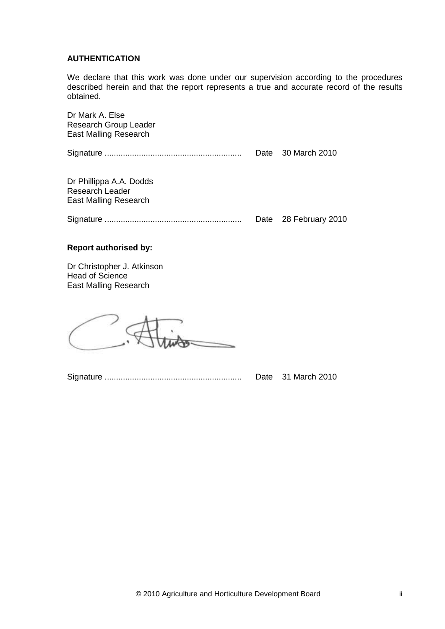# **AUTHENTICATION**

We declare that this work was done under our supervision according to the procedures described herein and that the report represents a true and accurate record of the results obtained.

| Dr Mark A. Else<br><b>Research Group Leader</b><br>East Malling Research   |                       |
|----------------------------------------------------------------------------|-----------------------|
|                                                                            | Date 30 March 2010    |
| Dr Phillippa A.A. Dodds<br><b>Research Leader</b><br>East Malling Research |                       |
|                                                                            | Date 28 February 2010 |

# **Report authorised by:**

Dr Christopher J. Atkinson Head of Science East Malling Research

Signature ............................................................ Date 31 March 2010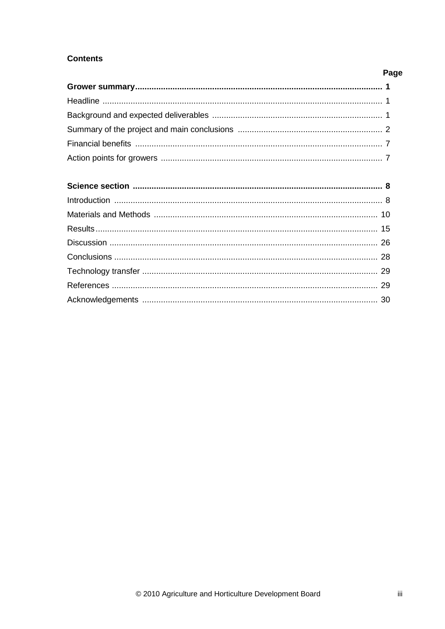# **Contents**

# Page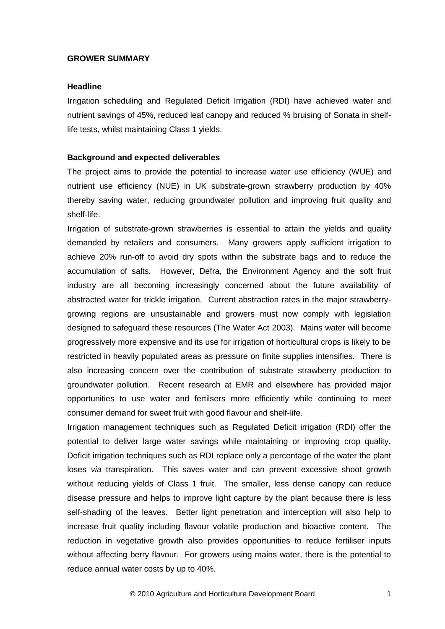# **GROWER SUMMARY**

# **Headline**

Irrigation scheduling and Regulated Deficit Irrigation (RDI) have achieved water and nutrient savings of 45%, reduced leaf canopy and reduced % bruising of Sonata in shelflife tests, whilst maintaining Class 1 yields.

# **Background and expected deliverables**

The project aims to provide the potential to increase water use efficiency (WUE) and nutrient use efficiency (NUE) in UK substrate-grown strawberry production by 40% thereby saving water, reducing groundwater pollution and improving fruit quality and shelf-life.

Irrigation of substrate-grown strawberries is essential to attain the yields and quality demanded by retailers and consumers. Many growers apply sufficient irrigation to achieve 20% run-off to avoid dry spots within the substrate bags and to reduce the accumulation of salts. However, Defra, the Environment Agency and the soft fruit industry are all becoming increasingly concerned about the future availability of abstracted water for trickle irrigation. Current abstraction rates in the major strawberrygrowing regions are unsustainable and growers must now comply with legislation designed to safeguard these resources (The Water Act 2003). Mains water will become progressively more expensive and its use for irrigation of horticultural crops is likely to be restricted in heavily populated areas as pressure on finite supplies intensifies. There is also increasing concern over the contribution of substrate strawberry production to groundwater pollution. Recent research at EMR and elsewhere has provided major opportunities to use water and fertilsers more efficiently while continuing to meet consumer demand for sweet fruit with good flavour and shelf-life.

Irrigation management techniques such as Regulated Deficit irrigation (RDI) offer the potential to deliver large water savings while maintaining or improving crop quality. Deficit irrigation techniques such as RDI replace only a percentage of the water the plant loses *via* transpiration. This saves water and can prevent excessive shoot growth without reducing yields of Class 1 fruit. The smaller, less dense canopy can reduce disease pressure and helps to improve light capture by the plant because there is less self-shading of the leaves. Better light penetration and interception will also help to increase fruit quality including flavour volatile production and bioactive content. The reduction in vegetative growth also provides opportunities to reduce fertiliser inputs without affecting berry flavour. For growers using mains water, there is the potential to reduce annual water costs by up to 40%.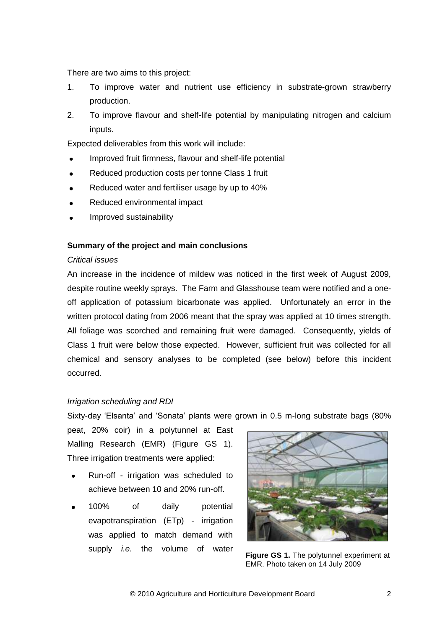There are two aims to this project:

- 1. To improve water and nutrient use efficiency in substrate-grown strawberry production.
- 2. To improve flavour and shelf-life potential by manipulating nitrogen and calcium inputs.

Expected deliverables from this work will include:

- Improved fruit firmness, flavour and shelf-life potential
- Reduced production costs per tonne Class 1 fruit
- Reduced water and fertiliser usage by up to 40%
- Reduced environmental impact
- Improved sustainability

# **Summary of the project and main conclusions**

# *Critical issues*

An increase in the incidence of mildew was noticed in the first week of August 2009, despite routine weekly sprays. The Farm and Glasshouse team were notified and a oneoff application of potassium bicarbonate was applied. Unfortunately an error in the written protocol dating from 2006 meant that the spray was applied at 10 times strength. All foliage was scorched and remaining fruit were damaged. Consequently, yields of Class 1 fruit were below those expected. However, sufficient fruit was collected for all chemical and sensory analyses to be completed (see below) before this incident occurred.

# *Irrigation scheduling and RDI*

Sixty-day 'Elsanta' and 'Sonata' plants were grown in 0.5 m-long substrate bags (80%

peat, 20% coir) in a polytunnel at East Malling Research (EMR) (Figure GS 1). Three irrigation treatments were applied:

- Run-off irrigation was scheduled to achieve between 10 and 20% run-off.
- 100% of daily potential evapotranspiration (ETp) - irrigation was applied to match demand with supply *i.e.* the volume of water



**Figure GS 1.** The polytunnel experiment at EMR. Photo taken on 14 July 2009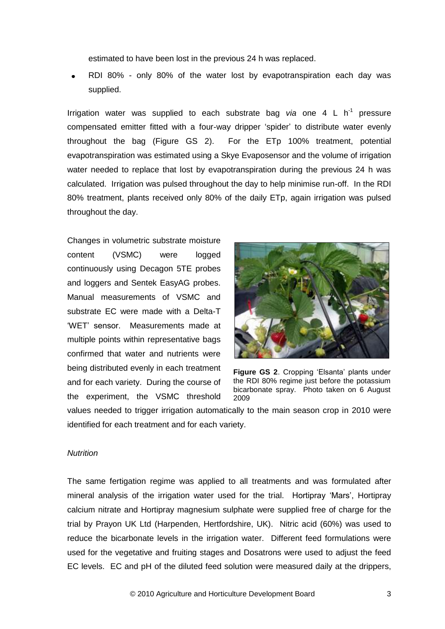estimated to have been lost in the previous 24 h was replaced.

RDI 80% - only 80% of the water lost by evapotranspiration each day was supplied.

Irrigation water was supplied to each substrate bag via one 4 L h<sup>-1</sup> pressure compensated emitter fitted with a four-way dripper 'spider' to distribute water evenly throughout the bag (Figure GS 2). For the ETp 100% treatment, potential evapotranspiration was estimated using a Skye Evaposensor and the volume of irrigation water needed to replace that lost by evapotranspiration during the previous 24 h was calculated. Irrigation was pulsed throughout the day to help minimise run-off. In the RDI 80% treatment, plants received only 80% of the daily ETp, again irrigation was pulsed throughout the day.

Changes in volumetric substrate moisture content (VSMC) were logged continuously using Decagon 5TE probes and loggers and Sentek EasyAG probes. Manual measurements of VSMC and substrate EC were made with a Delta-T 'WET' sensor. Measurements made at multiple points within representative bags confirmed that water and nutrients were being distributed evenly in each treatment and for each variety. During the course of the experiment, the VSMC threshold



**Figure GS 2**. Cropping 'Elsanta' plants under the RDI 80% regime just before the potassium bicarbonate spray. Photo taken on 6 August 2009

values needed to trigger irrigation automatically to the main season crop in 2010 were identified for each treatment and for each variety.

# *Nutrition*

The same fertigation regime was applied to all treatments and was formulated after mineral analysis of the irrigation water used for the trial. Hortipray 'Mars', Hortipray calcium nitrate and Hortipray magnesium sulphate were supplied free of charge for the trial by Prayon UK Ltd (Harpenden, Hertfordshire, UK). Nitric acid (60%) was used to reduce the bicarbonate levels in the irrigation water. Different feed formulations were used for the vegetative and fruiting stages and Dosatrons were used to adjust the feed EC levels. EC and pH of the diluted feed solution were measured daily at the drippers,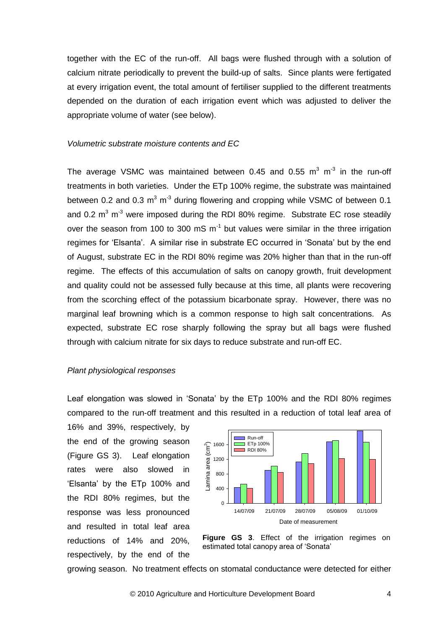together with the EC of the run-off. All bags were flushed through with a solution of calcium nitrate periodically to prevent the build-up of salts. Since plants were fertigated at every irrigation event, the total amount of fertiliser supplied to the different treatments depended on the duration of each irrigation event which was adjusted to deliver the appropriate volume of water (see below).

# *Volumetric substrate moisture contents and EC*

The average VSMC was maintained between 0.45 and 0.55  $m^3$  m<sup>-3</sup> in the run-off treatments in both varieties. Under the ETp 100% regime, the substrate was maintained between 0.2 and 0.3  $m^3$  m<sup>-3</sup> during flowering and cropping while VSMC of between 0.1 and 0.2  $m^3$  m<sup>-3</sup> were imposed during the RDI 80% regime. Substrate EC rose steadily over the season from 100 to 300 mS  $m^{-1}$  but values were similar in the three irrigation regimes for 'Elsanta'. A similar rise in substrate EC occurred in 'Sonata' but by the end of August, substrate EC in the RDI 80% regime was 20% higher than that in the run-off regime. The effects of this accumulation of salts on canopy growth, fruit development and quality could not be assessed fully because at this time, all plants were recovering from the scorching effect of the potassium bicarbonate spray. However, there was no marginal leaf browning which is a common response to high salt concentrations. As expected, substrate EC rose sharply following the spray but all bags were flushed through with calcium nitrate for six days to reduce substrate and run-off EC.

#### *Plant physiological responses*

Leaf elongation was slowed in 'Sonata' by the ETp 100% and the RDI 80% regimes compared to the run-off treatment and this resulted in a reduction of total leaf area of

16% and 39%, respectively, by the end of the growing season (Figure GS 3). Leaf elongation rates were also slowed in 'Elsanta' by the ETp 100% and the RDI 80% regimes, but the response was less pronounced and resulted in total leaf area reductions of 14% and 20%, respectively, by the end of the





growing season. No treatment effects on stomatal conductance were detected for either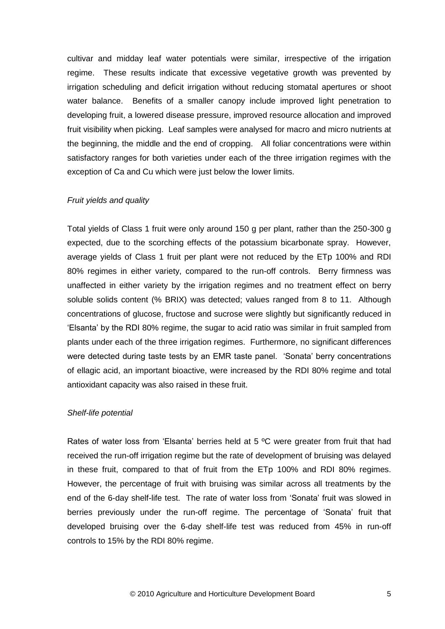cultivar and midday leaf water potentials were similar, irrespective of the irrigation regime. These results indicate that excessive vegetative growth was prevented by irrigation scheduling and deficit irrigation without reducing stomatal apertures or shoot water balance. Benefits of a smaller canopy include improved light penetration to developing fruit, a lowered disease pressure, improved resource allocation and improved fruit visibility when picking. Leaf samples were analysed for macro and micro nutrients at the beginning, the middle and the end of cropping. All foliar concentrations were within satisfactory ranges for both varieties under each of the three irrigation regimes with the exception of Ca and Cu which were just below the lower limits.

# *Fruit yields and quality*

Total yields of Class 1 fruit were only around 150 g per plant, rather than the 250-300 g expected, due to the scorching effects of the potassium bicarbonate spray. However, average yields of Class 1 fruit per plant were not reduced by the ETp 100% and RDI 80% regimes in either variety, compared to the run-off controls. Berry firmness was unaffected in either variety by the irrigation regimes and no treatment effect on berry soluble solids content (% BRIX) was detected; values ranged from 8 to 11. Although concentrations of glucose, fructose and sucrose were slightly but significantly reduced in 'Elsanta' by the RDI 80% regime, the sugar to acid ratio was similar in fruit sampled from plants under each of the three irrigation regimes. Furthermore, no significant differences were detected during taste tests by an EMR taste panel. 'Sonata' berry concentrations of ellagic acid, an important bioactive, were increased by the RDI 80% regime and total antioxidant capacity was also raised in these fruit.

# *Shelf-life potential*

Rates of water loss from 'Elsanta' berries held at 5 °C were greater from fruit that had received the run-off irrigation regime but the rate of development of bruising was delayed in these fruit, compared to that of fruit from the ETp 100% and RDI 80% regimes. However, the percentage of fruit with bruising was similar across all treatments by the end of the 6-day shelf-life test. The rate of water loss from 'Sonata' fruit was slowed in berries previously under the run-off regime. The percentage of 'Sonata' fruit that developed bruising over the 6-day shelf-life test was reduced from 45% in run-off controls to 15% by the RDI 80% regime.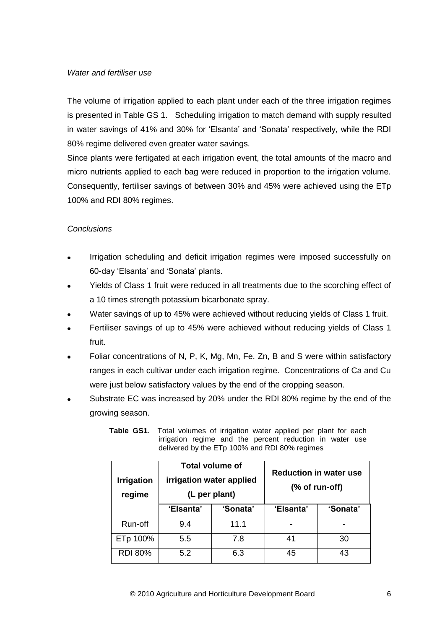# *Water and fertiliser use*

The volume of irrigation applied to each plant under each of the three irrigation regimes is presented in Table GS 1. Scheduling irrigation to match demand with supply resulted in water savings of 41% and 30% for 'Elsanta' and 'Sonata' respectively, while the RDI 80% regime delivered even greater water savings.

Since plants were fertigated at each irrigation event, the total amounts of the macro and micro nutrients applied to each bag were reduced in proportion to the irrigation volume. Consequently, fertiliser savings of between 30% and 45% were achieved using the ETp 100% and RDI 80% regimes.

# *Conclusions*

- Irrigation scheduling and deficit irrigation regimes were imposed successfully on 60-day 'Elsanta' and 'Sonata' plants.
- Yields of Class 1 fruit were reduced in all treatments due to the scorching effect of a 10 times strength potassium bicarbonate spray.
- Water savings of up to 45% were achieved without reducing yields of Class 1 fruit.
- Fertiliser savings of up to 45% were achieved without reducing yields of Class 1 fruit.
- Foliar concentrations of N, P, K, Mg, Mn, Fe. Zn, B and S were within satisfactory ranges in each cultivar under each irrigation regime. Concentrations of Ca and Cu were just below satisfactory values by the end of the cropping season.
- Substrate EC was increased by 20% under the RDI 80% regime by the end of the growing season.

| <b>Irrigation</b><br>regime | <b>Total volume of</b><br>irrigation water applied<br>(L per plant) |          | <b>Reduction in water use</b><br>(% of run-off) |          |
|-----------------------------|---------------------------------------------------------------------|----------|-------------------------------------------------|----------|
|                             | 'Elsanta'                                                           | 'Sonata' |                                                 | 'Sonata' |
| Run-off                     | 9.4                                                                 | 11.1     |                                                 |          |
| ETp 100%                    | 5.5                                                                 | 7.8      | 41                                              | 30       |
| <b>RDI 80%</b>              | 5.2                                                                 | 6.3      | 45                                              | 43       |

**Table GS1**. Total volumes of irrigation water applied per plant for each irrigation regime and the percent reduction in water use delivered by the ETp 100% and RDI 80% regimes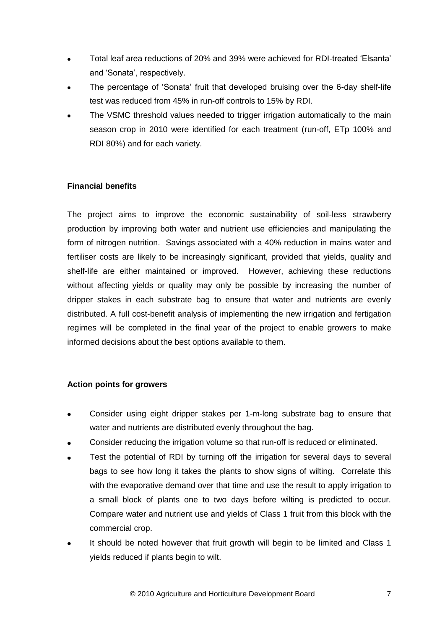- Total leaf area reductions of 20% and 39% were achieved for RDI-treated 'Elsanta'  $\bullet$ and 'Sonata', respectively.
- The percentage of 'Sonata' fruit that developed bruising over the 6-day shelf-life test was reduced from 45% in run-off controls to 15% by RDI.
- The VSMC threshold values needed to trigger irrigation automatically to the main season crop in 2010 were identified for each treatment (run-off, ETp 100% and RDI 80%) and for each variety.

# **Financial benefits**

The project aims to improve the economic sustainability of soil-less strawberry production by improving both water and nutrient use efficiencies and manipulating the form of nitrogen nutrition. Savings associated with a 40% reduction in mains water and fertiliser costs are likely to be increasingly significant, provided that yields, quality and shelf-life are either maintained or improved. However, achieving these reductions without affecting yields or quality may only be possible by increasing the number of dripper stakes in each substrate bag to ensure that water and nutrients are evenly distributed. A full cost-benefit analysis of implementing the new irrigation and fertigation regimes will be completed in the final year of the project to enable growers to make informed decisions about the best options available to them.

# **Action points for growers**

- Consider using eight dripper stakes per 1-m-long substrate bag to ensure that water and nutrients are distributed evenly throughout the bag.
- Consider reducing the irrigation volume so that run-off is reduced or eliminated.
- Test the potential of RDI by turning off the irrigation for several days to several bags to see how long it takes the plants to show signs of wilting. Correlate this with the evaporative demand over that time and use the result to apply irrigation to a small block of plants one to two days before wilting is predicted to occur. Compare water and nutrient use and yields of Class 1 fruit from this block with the commercial crop.
- It should be noted however that fruit growth will begin to be limited and Class 1 yields reduced if plants begin to wilt.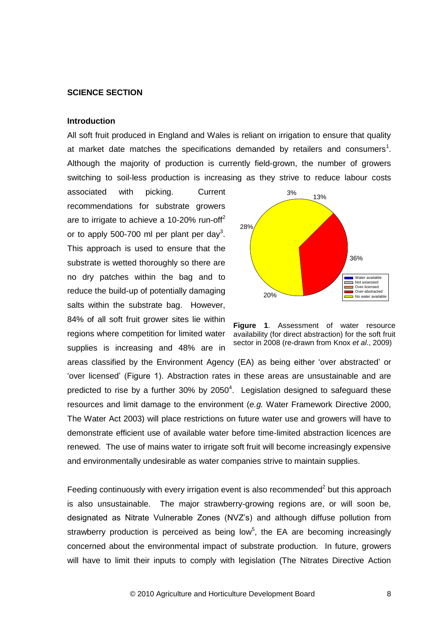#### **SCIENCE SECTION**

### **Introduction**

All soft fruit produced in England and Wales is reliant on irrigation to ensure that quality at market date matches the specifications demanded by retailers and consumers<sup>1</sup>. Although the majority of production is currently field-grown, the number of growers switching to soil-less production is increasing as they strive to reduce labour costs

associated with picking. Current recommendations for substrate growers are to irrigate to achieve a 10-20% run-off<sup>2</sup> or to apply 500-700 ml per plant per day<sup>3</sup>. This approach is used to ensure that the substrate is wetted thoroughly so there are no dry patches within the bag and to reduce the build-up of potentially damaging salts within the substrate bag. However, 84% of all soft fruit grower sites lie within regions where competition for limited water supplies is increasing and 48% are in



**Figure 1**. Assessment of water resource availability (for direct abstraction) for the soft fruit sector in 2008 (re-drawn from Knox *et al*., 2009)

areas classified by the Environment Agency (EA) as being either 'over abstracted' or 'over licensed' (Figure 1). Abstraction rates in these areas are unsustainable and are predicted to rise by a further  $30\%$  by  $2050^4$ . Legislation designed to safeguard these resources and limit damage to the environment (*e.g.* Water Framework Directive 2000, The Water Act 2003) will place restrictions on future water use and growers will have to demonstrate efficient use of available water before time-limited abstraction licences are renewed. The use of mains water to irrigate soft fruit will become increasingly expensive and environmentally undesirable as water companies strive to maintain supplies.

Feeding continuously with every irrigation event is also recommended<sup>2</sup> but this approach is also unsustainable. The major strawberry-growing regions are, or will soon be, designated as Nitrate Vulnerable Zones (NVZ's) and although diffuse pollution from strawberry production is perceived as being low<sup>5</sup>, the EA are becoming increasingly concerned about the environmental impact of substrate production. In future, growers will have to limit their inputs to comply with legislation (The Nitrates Directive Action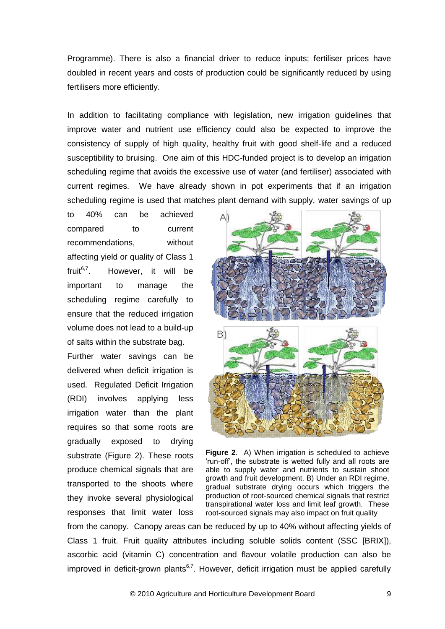Programme). There is also a financial driver to reduce inputs; fertiliser prices have doubled in recent years and costs of production could be significantly reduced by using fertilisers more efficiently.

In addition to facilitating compliance with legislation, new irrigation guidelines that improve water and nutrient use efficiency could also be expected to improve the consistency of supply of high quality, healthy fruit with good shelf-life and a reduced susceptibility to bruising. One aim of this HDC-funded project is to develop an irrigation scheduling regime that avoids the excessive use of water (and fertiliser) associated with current regimes. We have already shown in pot experiments that if an irrigation scheduling regime is used that matches plant demand with supply, water savings of up

to 40% can be achieved compared to current recommendations, without affecting yield or quality of Class 1 fruit $^{6,7}$ . . However, it will be important to manage the scheduling regime carefully to ensure that the reduced irrigation volume does not lead to a build-up of salts within the substrate bag. Further water savings can be delivered when deficit irrigation is used. Regulated Deficit Irrigation (RDI) involves applying less irrigation water than the plant requires so that some roots are gradually exposed to drying substrate (Figure 2). These roots produce chemical signals that are transported to the shoots where they invoke several physiological responses that limit water loss



**Figure 2**. A) When irrigation is scheduled to achieve 'run-off', the substrate is wetted fully and all roots are able to supply water and nutrients to sustain shoot growth and fruit development. B) Under an RDI regime, gradual substrate drying occurs which triggers the production of root-sourced chemical signals that restrict transpirational water loss and limit leaf growth. These root-sourced signals may also impact on fruit quality

from the canopy. Canopy areas can be reduced by up to 40% without affecting yields of Class 1 fruit. Fruit quality attributes including soluble solids content (SSC [BRIX]), ascorbic acid (vitamin C) concentration and flavour volatile production can also be improved in deficit-grown plants<sup>6,7</sup>. However, deficit irrigation must be applied carefully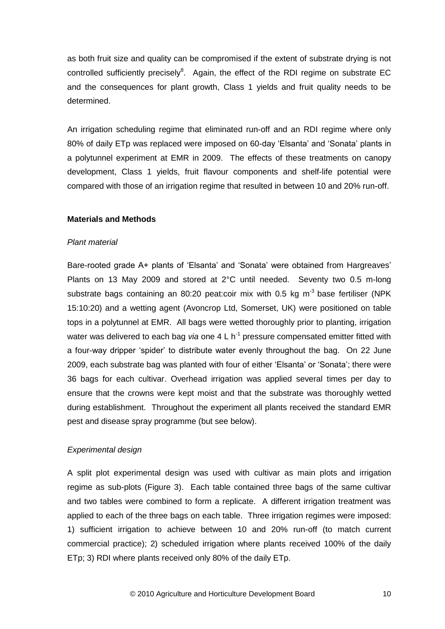as both fruit size and quality can be compromised if the extent of substrate drying is not controlled sufficiently precisely $8$ . Again, the effect of the RDI regime on substrate EC and the consequences for plant growth, Class 1 yields and fruit quality needs to be determined.

An irrigation scheduling regime that eliminated run-off and an RDI regime where only 80% of daily ETp was replaced were imposed on 60-day 'Elsanta' and 'Sonata' plants in a polytunnel experiment at EMR in 2009. The effects of these treatments on canopy development, Class 1 yields, fruit flavour components and shelf-life potential were compared with those of an irrigation regime that resulted in between 10 and 20% run-off.

# **Materials and Methods**

# *Plant material*

Bare-rooted grade A+ plants of 'Elsanta' and 'Sonata' were obtained from Hargreaves' Plants on 13 May 2009 and stored at 2°C until needed. Seventy two 0.5 m-long substrate bags containing an 80:20 peat:coir mix with 0.5 kg  $m<sup>-3</sup>$  base fertiliser (NPK 15:10:20) and a wetting agent (Avoncrop Ltd, Somerset, UK) were positioned on table tops in a polytunnel at EMR. All bags were wetted thoroughly prior to planting, irrigation water was delivered to each bag *via* one 4 L h<sup>-1</sup> pressure compensated emitter fitted with a four-way dripper 'spider' to distribute water evenly throughout the bag. On 22 June 2009, each substrate bag was planted with four of either 'Elsanta' or 'Sonata'; there were 36 bags for each cultivar. Overhead irrigation was applied several times per day to ensure that the crowns were kept moist and that the substrate was thoroughly wetted during establishment. Throughout the experiment all plants received the standard EMR pest and disease spray programme (but see below).

# *Experimental design*

A split plot experimental design was used with cultivar as main plots and irrigation regime as sub-plots (Figure 3). Each table contained three bags of the same cultivar and two tables were combined to form a replicate. A different irrigation treatment was applied to each of the three bags on each table. Three irrigation regimes were imposed: 1) sufficient irrigation to achieve between 10 and 20% run-off (to match current commercial practice); 2) scheduled irrigation where plants received 100% of the daily ETp; 3) RDI where plants received only 80% of the daily ETp.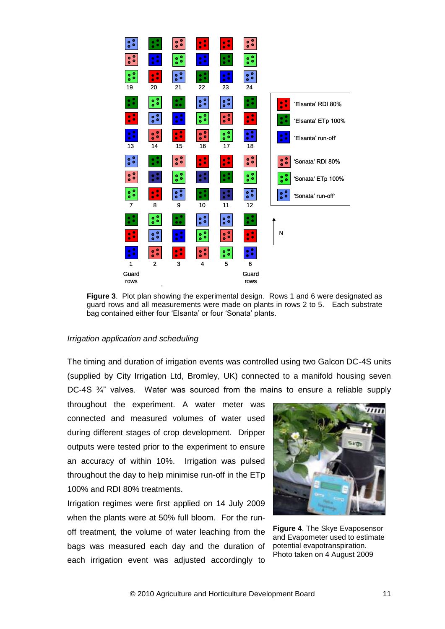

**Figure 3**. Plot plan showing the experimental design. Rows 1 and 6 were designated as guard rows and all measurements were made on plants in rows 2 to 5. Each substrate bag contained either four 'Elsanta' or four 'Sonata' plants.

### *Irrigation application and scheduling*

The timing and duration of irrigation events was controlled using two Galcon DC-4S units (supplied by City Irrigation Ltd, Bromley, UK) connected to a manifold housing seven DC-4S ¾" valves. Water was sourced from the mains to ensure a reliable supply

throughout the experiment. A water meter was connected and measured volumes of water used during different stages of crop development. Dripper outputs were tested prior to the experiment to ensure an accuracy of within 10%. Irrigation was pulsed throughout the day to help minimise run-off in the ETp 100% and RDI 80% treatments.

Irrigation regimes were first applied on 14 July 2009 when the plants were at 50% full bloom. For the runoff treatment, the volume of water leaching from the bags was measured each day and the duration of each irrigation event was adjusted accordingly to



**Figure 4**. The Skye Evaposensor and Evapometer used to estimate potential evapotranspiration. Photo taken on 4 August 2009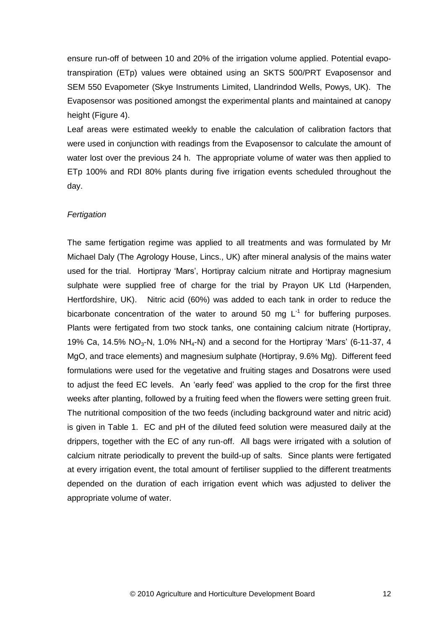ensure run-off of between 10 and 20% of the irrigation volume applied. Potential evapotranspiration (ETp) values were obtained using an SKTS 500/PRT Evaposensor and SEM 550 Evapometer (Skye Instruments Limited, Llandrindod Wells, Powys, UK). The Evaposensor was positioned amongst the experimental plants and maintained at canopy height (Figure 4).

Leaf areas were estimated weekly to enable the calculation of calibration factors that were used in conjunction with readings from the Evaposensor to calculate the amount of water lost over the previous 24 h. The appropriate volume of water was then applied to ETp 100% and RDI 80% plants during five irrigation events scheduled throughout the day.

### *Fertigation*

The same fertigation regime was applied to all treatments and was formulated by Mr Michael Daly (The Agrology House, Lincs., UK) after mineral analysis of the mains water used for the trial. Hortipray 'Mars', Hortipray calcium nitrate and Hortipray magnesium sulphate were supplied free of charge for the trial by Prayon UK Ltd (Harpenden, Hertfordshire, UK). Nitric acid (60%) was added to each tank in order to reduce the bicarbonate concentration of the water to around 50 mg  $L^{-1}$  for buffering purposes. Plants were fertigated from two stock tanks, one containing calcium nitrate (Hortipray, 19% Ca, 14.5% NO<sub>3</sub>-N, 1.0% NH<sub>4</sub>-N) and a second for the Hortipray 'Mars' (6-11-37, 4 MgO, and trace elements) and magnesium sulphate (Hortipray, 9.6% Mg). Different feed formulations were used for the vegetative and fruiting stages and Dosatrons were used to adjust the feed EC levels. An 'early feed' was applied to the crop for the first three weeks after planting, followed by a fruiting feed when the flowers were setting green fruit. The nutritional composition of the two feeds (including background water and nitric acid) is given in Table 1. EC and pH of the diluted feed solution were measured daily at the drippers, together with the EC of any run-off. All bags were irrigated with a solution of calcium nitrate periodically to prevent the build-up of salts. Since plants were fertigated at every irrigation event, the total amount of fertiliser supplied to the different treatments depended on the duration of each irrigation event which was adjusted to deliver the appropriate volume of water.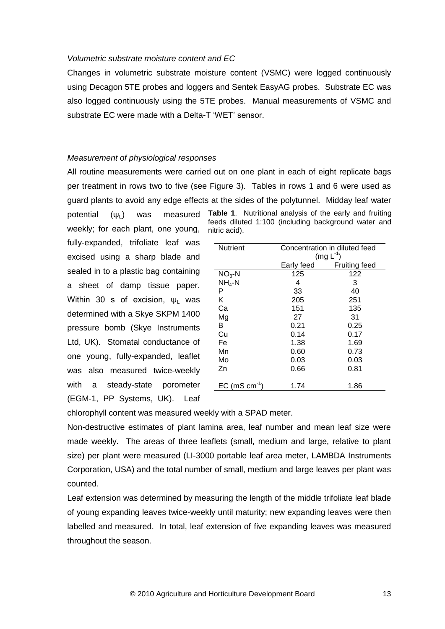#### *Volumetric substrate moisture content and EC*

Changes in volumetric substrate moisture content (VSMC) were logged continuously using Decagon 5TE probes and loggers and Sentek EasyAG probes. Substrate EC was also logged continuously using the 5TE probes. Manual measurements of VSMC and substrate EC were made with a Delta-T 'WET' sensor.

### *Measurement of physiological responses*

All routine measurements were carried out on one plant in each of eight replicate bags per treatment in rows two to five (see Figure 3). Tables in rows 1 and 6 were used as guard plants to avoid any edge effects at the sides of the polytunnel. Midday leaf water

nitric acid).

potential  $(\psi_{\perp})$  was measured weekly; for each plant, one young, fully-expanded, trifoliate leaf was excised using a sharp blade and sealed in to a plastic bag containing a sheet of damp tissue paper. Within 30 s of excision,  $\psi_1$  was determined with a Skye SKPM 1400 pressure bomb (Skye Instruments Ltd, UK). Stomatal conductance of one young, fully-expanded, leaflet was also measured twice-weekly with a steady-state porometer (EGM-1, PP Systems, UK). Leaf

| <b>Nutrient</b> | Concentration in diluted feed |               |  |  |
|-----------------|-------------------------------|---------------|--|--|
|                 |                               | $(mg L-1)$    |  |  |
|                 | Early feed                    | Fruiting feed |  |  |
| $NO3 - N$       | 125                           | 122           |  |  |
| $NH_4-N$        | 4                             | 3             |  |  |
| Ρ               | 33                            | 40            |  |  |
| Κ               | 205                           | 251           |  |  |
| Ca              | 151                           | 135           |  |  |
| Mg              | 27                            | 31            |  |  |
| в               | 0.21                          | 0.25          |  |  |
| Cu              | 0.14                          | 0.17          |  |  |
| Fe              | 1.38                          | 1.69          |  |  |
| Mn              | 0.60                          | 0.73          |  |  |
| Mo              | 0.03                          | 0.03          |  |  |
| Zn              | 0.66                          | 0.81          |  |  |
|                 |                               |               |  |  |
| EC (mS cm       | 1.74                          | 1.86          |  |  |

**Table 1**. Nutritional analysis of the early and fruiting feeds diluted 1:100 (including background water and

chlorophyll content was measured weekly with a SPAD meter.

Non-destructive estimates of plant lamina area, leaf number and mean leaf size were made weekly. The areas of three leaflets (small, medium and large, relative to plant size) per plant were measured (LI-3000 portable leaf area meter, LAMBDA Instruments Corporation, USA) and the total number of small, medium and large leaves per plant was counted.

Leaf extension was determined by measuring the length of the middle trifoliate leaf blade of young expanding leaves twice-weekly until maturity; new expanding leaves were then labelled and measured. In total, leaf extension of five expanding leaves was measured throughout the season.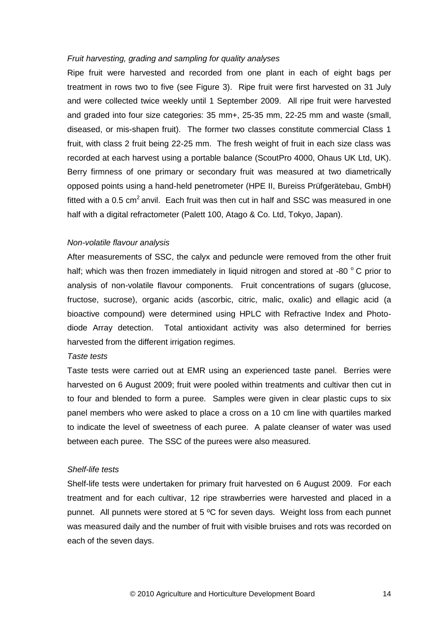#### *Fruit harvesting, grading and sampling for quality analyses*

Ripe fruit were harvested and recorded from one plant in each of eight bags per treatment in rows two to five (see Figure 3). Ripe fruit were first harvested on 31 July and were collected twice weekly until 1 September 2009. All ripe fruit were harvested and graded into four size categories: 35 mm+, 25-35 mm, 22-25 mm and waste (small, diseased, or mis-shapen fruit). The former two classes constitute commercial Class 1 fruit, with class 2 fruit being 22-25 mm. The fresh weight of fruit in each size class was recorded at each harvest using a portable balance (ScoutPro 4000, Ohaus UK Ltd, UK). Berry firmness of one primary or secondary fruit was measured at two diametrically opposed points using a hand-held penetrometer (HPE II, Bureiss Prüfgerätebau, GmbH) fitted with a 0.5 cm<sup>2</sup> anvil. Each fruit was then cut in half and SSC was measured in one half with a digital refractometer (Palett 100, Atago & Co. Ltd, Tokyo, Japan).

# *Non-volatile flavour analysis*

After measurements of SSC, the calyx and peduncle were removed from the other fruit half; which was then frozen immediately in liquid nitrogen and stored at -80  $^{\circ}$  C prior to analysis of non-volatile flavour components. Fruit concentrations of sugars (glucose, fructose, sucrose), organic acids (ascorbic, citric, malic, oxalic) and ellagic acid (a bioactive compound) were determined using HPLC with Refractive Index and Photodiode Array detection. Total antioxidant activity was also determined for berries harvested from the different irrigation regimes.

# *Taste tests*

Taste tests were carried out at EMR using an experienced taste panel. Berries were harvested on 6 August 2009; fruit were pooled within treatments and cultivar then cut in to four and blended to form a puree. Samples were given in clear plastic cups to six panel members who were asked to place a cross on a 10 cm line with quartiles marked to indicate the level of sweetness of each puree. A palate cleanser of water was used between each puree. The SSC of the purees were also measured.

#### *Shelf-life tests*

Shelf-life tests were undertaken for primary fruit harvested on 6 August 2009. For each treatment and for each cultivar, 12 ripe strawberries were harvested and placed in a punnet. All punnets were stored at 5 ºC for seven days. Weight loss from each punnet was measured daily and the number of fruit with visible bruises and rots was recorded on each of the seven days.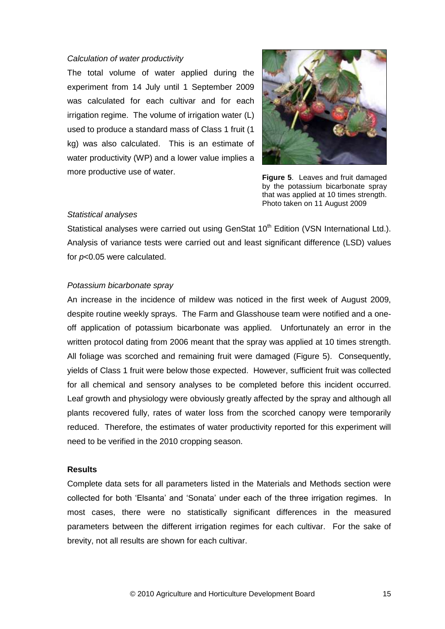#### *Calculation of water productivity*

The total volume of water applied during the experiment from 14 July until 1 September 2009 was calculated for each cultivar and for each irrigation regime. The volume of irrigation water (L) used to produce a standard mass of Class 1 fruit (1 kg) was also calculated. This is an estimate of water productivity (WP) and a lower value implies a more productive use of water.



**Figure 5**. Leaves and fruit damaged by the potassium bicarbonate spray that was applied at 10 times strength. Photo taken on 11 August 2009

#### *Statistical analyses*

Statistical analyses were carried out using GenStat 10<sup>th</sup> Edition (VSN International Ltd.). Analysis of variance tests were carried out and least significant difference (LSD) values for *p*<0.05 were calculated.

### *Potassium bicarbonate spray*

An increase in the incidence of mildew was noticed in the first week of August 2009, despite routine weekly sprays. The Farm and Glasshouse team were notified and a oneoff application of potassium bicarbonate was applied. Unfortunately an error in the written protocol dating from 2006 meant that the spray was applied at 10 times strength. All foliage was scorched and remaining fruit were damaged (Figure 5). Consequently, yields of Class 1 fruit were below those expected. However, sufficient fruit was collected for all chemical and sensory analyses to be completed before this incident occurred. Leaf growth and physiology were obviously greatly affected by the spray and although all plants recovered fully, rates of water loss from the scorched canopy were temporarily reduced. Therefore, the estimates of water productivity reported for this experiment will need to be verified in the 2010 cropping season.

### **Results**

Complete data sets for all parameters listed in the Materials and Methods section were collected for both 'Elsanta' and 'Sonata' under each of the three irrigation regimes. In most cases, there were no statistically significant differences in the measured parameters between the different irrigation regimes for each cultivar. For the sake of brevity, not all results are shown for each cultivar.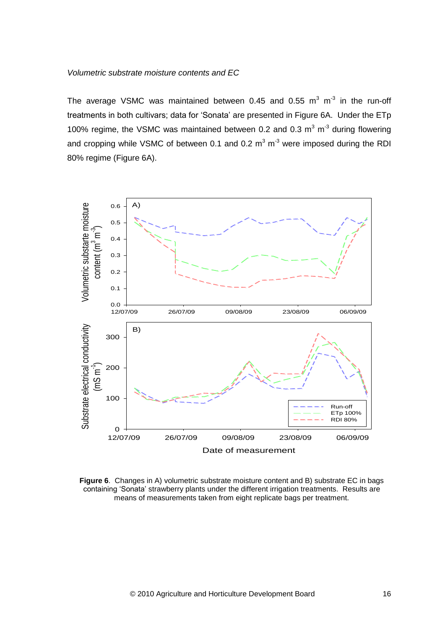# *Volumetric substrate moisture contents and EC*

The average VSMC was maintained between 0.45 and 0.55  $m^3$  m<sup>-3</sup> in the run-off treatments in both cultivars; data for 'Sonata' are presented in Figure 6A. Under the ETp 100% regime, the VSMC was maintained between 0.2 and 0.3  $m^3$  m<sup>-3</sup> during flowering and cropping while VSMC of between 0.1 and 0.2  $m^3$  m<sup>-3</sup> were imposed during the RDI 80% regime (Figure 6A).



**Figure 6**. Changes in A) volumetric substrate moisture content and B) substrate EC in bags containing 'Sonata' strawberry plants under the different irrigation treatments. Results are means of measurements taken from eight replicate bags per treatment.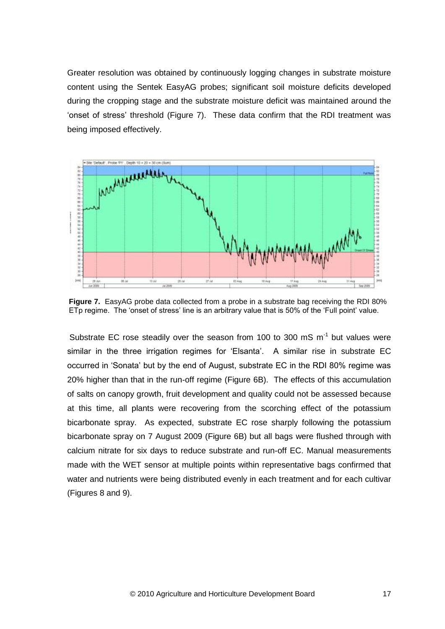Greater resolution was obtained by continuously logging changes in substrate moisture content using the Sentek EasyAG probes; significant soil moisture deficits developed during the cropping stage and the substrate moisture deficit was maintained around the 'onset of stress' threshold (Figure 7). These data confirm that the RDI treatment was being imposed effectively.



**Figure 7.** EasyAG probe data collected from a probe in a substrate bag receiving the RDI 80% ETp regime. The 'onset of stress' line is an arbitrary value that is 50% of the 'Full point' value.

Substrate EC rose steadily over the season from 100 to 300 mS  $m^{-1}$  but values were similar in the three irrigation regimes for 'Elsanta'. A similar rise in substrate EC occurred in 'Sonata' but by the end of August, substrate EC in the RDI 80% regime was 20% higher than that in the run-off regime (Figure 6B). The effects of this accumulation of salts on canopy growth, fruit development and quality could not be assessed because at this time, all plants were recovering from the scorching effect of the potassium bicarbonate spray. As expected, substrate EC rose sharply following the potassium bicarbonate spray on 7 August 2009 (Figure 6B) but all bags were flushed through with calcium nitrate for six days to reduce substrate and run-off EC. Manual measurements made with the WET sensor at multiple points within representative bags confirmed that water and nutrients were being distributed evenly in each treatment and for each cultivar (Figures 8 and 9).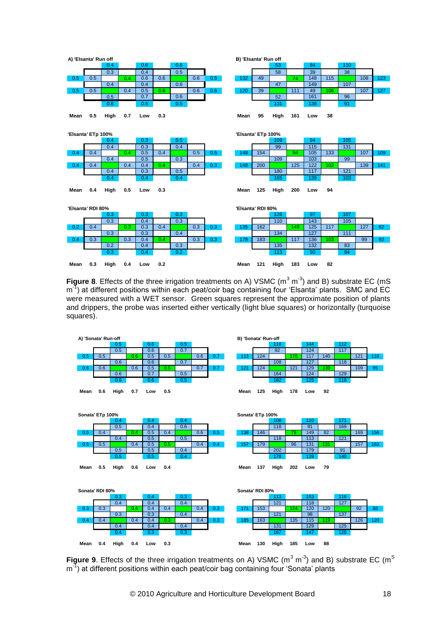

**Figure 8**. Effects of the three irrigation treatments on A) VSMC  $(m^3 m^3)$  and B) substrate EC (mS m<sup>-1</sup>) at different positions within each peat/coir bag containing four 'Elsanta' plants. SMC and EC were measured with a WET sensor. Green squares represent the approximate position of plants and drippers, the probe was inserted either vertically (light blue squares) or horizontally (turquoise squares).



Figure 9. Effects of the three irrigation treatments on A) VSMC (m<sup>3</sup> m<sup>-3</sup>) and B) substrate EC (m<sup>S</sup> m<sup>-1</sup>) at different positions within each peat/coir bag containing four 'Sonata' plants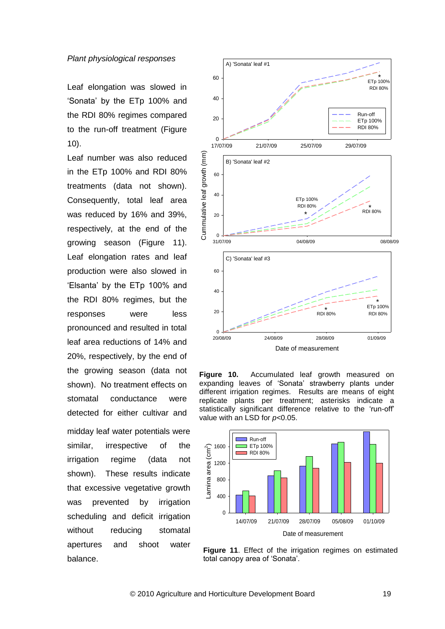#### *Plant physiological responses*

Leaf elongation was slowed in 'Sonata' by the ETp 100% and the RDI 80% regimes compared to the run-off treatment (Figure 10).

Leaf number was also reduced in the ETp 100% and RDI 80% treatments (data not shown). Consequently, total leaf area was reduced by 16% and 39%, respectively, at the end of the growing season (Figure 11). Leaf elongation rates and leaf production were also slowed in 'Elsanta' by the ETp 100% and the RDI 80% regimes, but the responses were less pronounced and resulted in total leaf area reductions of 14% and 20%, respectively, by the end of the growing season (data not shown). No treatment effects on stomatal conductance were detected for either cultivar and midday leaf water potentials were similar, irrespective of the irrigation regime (data not shown). These results indicate that excessive vegetative growth was prevented by irrigation scheduling and deficit irrigation without reducing stomatal apertures and shoot water balance.



**Figure 10.** Accumulated leaf growth measured on expanding leaves of 'Sonata' strawberry plants under different irrigation regimes. Results are means of eight replicate plants per treatment; asterisks indicate a statistically significant difference relative to the 'run-off' value with an LSD for *p<*0.05.



**Figure 11**. Effect of the irrigation regimes on estimated total canopy area of 'Sonata'.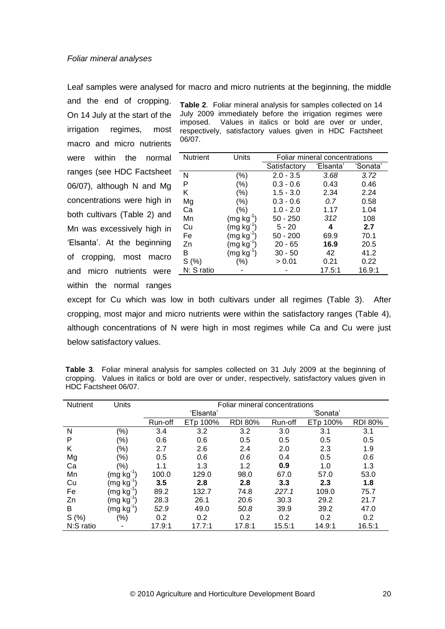#### *Foliar mineral analyses*

Leaf samples were analysed for macro and micro nutrients at the beginning, the middle

and the end of cropping. On 14 July at the start of the irrigation regimes, most macro and micro nutrients were within the normal ranges (see HDC Factsheet 06/07), although N and Mg concentrations were high in both cultivars (Table 2) and Mn was excessively high in 'Elsanta'. At the beginning of cropping, most macro and micro nutrients were within the normal ranges

**Table 2**. Foliar mineral analysis for samples collected on 14 July 2009 immediately before the irrigation regimes were imposed. Values in italics or bold are over or under, respectively, satisfactory values given in HDC Factsheet 06/07.

| <b>Nutrient</b> | Units                                   | Foliar mineral concentrations |           |          |  |
|-----------------|-----------------------------------------|-------------------------------|-----------|----------|--|
|                 |                                         | Satisfactory                  | 'Elsanta' | 'Sonata' |  |
| N               | (%)                                     | $2.0 - 3.5$                   | 3.68      | 3.72     |  |
| Р               | (%)                                     | $0.3 - 0.6$                   | 0.43      | 0.46     |  |
| Κ               | $(\%)$                                  | $1.5 - 3.0$                   | 2.34      | 2.24     |  |
| Mg              | (%)                                     | $0.3 - 0.6$                   | 0.7       | 0.58     |  |
| Ca              | $(\% )$                                 | $1.0 - 2.0$                   | 1.17      | 1.04     |  |
| Mn              | $(mg kg-1)$                             | $50 - 250$                    | 312       | 108      |  |
| Cu              | $(mg kg-1)$                             | $5 - 20$                      | 4         | 2.7      |  |
| Fe              | $(\mathsf{mg}\ \mathsf{kg}^\mathsf{T})$ | $50 - 200$                    | 69.9      | 70.1     |  |
| Zn              | (mg kg <sup>-</sup>                     | $20 - 65$                     | 16.9      | 20.5     |  |
| В               | $(mg kg-1)$                             | $30 - 50$                     | 42        | 41.2     |  |
| S(%)            | $(\% )$                                 | > 0.01                        | 0.21      | 0.22     |  |
| N: S ratio      |                                         |                               | 17.5:1    | 16.9:1   |  |
|                 |                                         |                               |           |          |  |

except for Cu which was low in both cultivars under all regimes (Table 3). After cropping, most major and micro nutrients were within the satisfactory ranges (Table 4), although concentrations of N were high in most regimes while Ca and Cu were just below satisfactory values.

**Table 3**. Foliar mineral analysis for samples collected on 31 July 2009 at the beginning of cropping. Values in italics or bold are over or under, respectively, satisfactory values given in HDC Factsheet 06/07.

| <b>Nutrient</b> | Units                                    | Foliar mineral concentrations |           |                |         |          |                |
|-----------------|------------------------------------------|-------------------------------|-----------|----------------|---------|----------|----------------|
|                 |                                          |                               | 'Elsanta' |                |         | 'Sonata' |                |
|                 |                                          | Run-off                       | ETp 100%  | <b>RDI 80%</b> | Run-off | ETp 100% | <b>RDI 80%</b> |
| N               | $(\% )$                                  | 3.4                           | 3.2       | 3.2            | 3.0     | 3.1      | 3.1            |
| P               | (%)                                      | 0.6                           | 0.6       | 0.5            | 0.5     | 0.5      | 0.5            |
| K               | (%)                                      | 2.7                           | 2.6       | 2.4            | 2.0     | 2.3      | 1.9            |
| Mg              | $(\% )$                                  | 0.5                           | 0.6       | 0.6            | 0.4     | 0.5      | 0.6            |
| Ca              | '%)                                      | 1.1                           | 1.3       | 1.2            | 0.9     | 1.0      | 1.3            |
| Mn              | (mg kḡ                                   | 100.0                         | 129.0     | 98.0           | 67.0    | 57.0     | 53.0           |
| Cu              | (mg kgʻ                                  | 3.5                           | 2.8       | 2.8            | 3.3     | 2.3      | 1.8            |
| Fe              | (mg kg <sup>-</sup>                      | 89.2                          | 132.7     | 74.8           | 227.1   | 109.0    | 75.7           |
| Zn              | $(\mathsf{mg}\, \mathsf{kg}^\mathsf{T})$ | 28.3                          | 26.1      | 20.6           | 30.3    | 29.2     | 21.7           |
| B               | (mg kg <sup>-</sup>                      | 52.9                          | 49.0      | 50.8           | 39.9    | 39.2     | 47.0           |
| S(% )           | (%)                                      | 0.2                           | 0.2       | 0.2            | 0.2     | 0.2      | 0.2            |
| N:S ratio       |                                          | 17.9:1                        | 17.7:1    | 17.8:1         | 15.5:1  | 14.9:1   | 16.5:1         |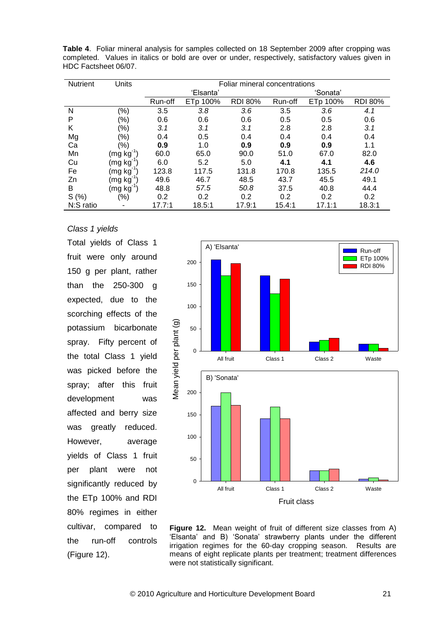| <b>Nutrient</b> | Units                                                                                                                                                                                                                                                                                                                                                                                                                                                                                                 | Foliar mineral concentrations |           |                |         |          |                |
|-----------------|-------------------------------------------------------------------------------------------------------------------------------------------------------------------------------------------------------------------------------------------------------------------------------------------------------------------------------------------------------------------------------------------------------------------------------------------------------------------------------------------------------|-------------------------------|-----------|----------------|---------|----------|----------------|
|                 |                                                                                                                                                                                                                                                                                                                                                                                                                                                                                                       |                               | 'Elsanta' |                |         | 'Sonata' |                |
|                 |                                                                                                                                                                                                                                                                                                                                                                                                                                                                                                       | Run-off                       | ETp 100%  | <b>RDI 80%</b> | Run-off | ETp 100% | <b>RDI 80%</b> |
| N               | $(\% )$                                                                                                                                                                                                                                                                                                                                                                                                                                                                                               | 3.5                           | 3.8       | 3.6            | 3.5     | 3.6      | 4.1            |
| P               | (%)                                                                                                                                                                                                                                                                                                                                                                                                                                                                                                   | 0.6                           | 0.6       | 0.6            | 0.5     | 0.5      | 0.6            |
| Κ               | (%)                                                                                                                                                                                                                                                                                                                                                                                                                                                                                                   | 3.1                           | 3.1       | 3.1            | 2.8     | 2.8      | 3.1            |
| Mg              | (%)                                                                                                                                                                                                                                                                                                                                                                                                                                                                                                   | 0.4                           | 0.5       | 0.4            | 0.4     | 0.4      | 0.4            |
| Ca              | (%)                                                                                                                                                                                                                                                                                                                                                                                                                                                                                                   | 0.9                           | 1.0       | 0.9            | 0.9     | 0.9      | 1.1            |
| Mn              | $(\mathsf{mg}\; \mathsf{kg}^\lhd)$                                                                                                                                                                                                                                                                                                                                                                                                                                                                    | 60.0                          | 65.0      | 90.0           | 51.0    | 67.0     | 82.0           |
| Cu              | (mg kg <sup>-</sup>                                                                                                                                                                                                                                                                                                                                                                                                                                                                                   | 6.0                           | 5.2       | 5.0            | 4.1     | 4.1      | 4.6            |
| Fe              | (mg kg <sup>-</sup>                                                                                                                                                                                                                                                                                                                                                                                                                                                                                   | 123.8                         | 117.5     | 131.8          | 170.8   | 135.5    | 214.0          |
| Zn              | (mg kg <sup>-</sup>                                                                                                                                                                                                                                                                                                                                                                                                                                                                                   | 49.6                          | 46.7      | 48.5           | 43.7    | 45.5     | 49.1           |
| B               | $\left(\right.\!\!\left.\right.\!\!\left.\right.\!\!\!\left.\right.\!\!\!\left.\left.\right.\!\!\!\left.\right.\!\!\!\left.\left.\right.\!\!\!\left.\right.\!\!\!\left.\right.\!\!\!\left.\right.\!\!\!\left.\left.\right.\!\!\!\left.\right.\!\!\!\left.\right.\right.\!\!\!\left.\left.\right.\!\!\!\left.\right.\!\!\!\left.\right.\right.\!\!\!\left.\left.\right.\!\!\!\left.\right.\!\!\!\left.\right.\right.\!\!\!\left.\left.\right.\!\!\!\left.\right.\!\!\!\left.\right.\right.\right\vert$ | 48.8                          | 57.5      | 50.8           | 37.5    | 40.8     | 44.4           |
| S(%)            | $(\%)$                                                                                                                                                                                                                                                                                                                                                                                                                                                                                                | 0.2                           | 0.2       | 0.2            | 0.2     | 0.2      | 0.2            |
| N:S ratio       | ۰                                                                                                                                                                                                                                                                                                                                                                                                                                                                                                     | 17.7:1                        | 18.5:1    | 17.9:1         | 15.4:1  | 17.1:1   | 18.3:1         |

**Table 4**. Foliar mineral analysis for samples collected on 18 September 2009 after cropping was completed. Values in italics or bold are over or under, respectively, satisfactory values given in HDC Factsheet 06/07.

### *Class 1 yields*

Total yields of Class 1 fruit were only around 150 g per plant, rather than the 250-300 g expected, due to the scorching effects of the potassium bicarbonate spray. Fifty percent of the total Class 1 yield was picked before the spray; after this fruit development was affected and berry size was greatly reduced. However, average yields of Class 1 fruit per plant were not significantly reduced by the ETp 100% and RDI 80% regimes in either cultivar, compared to the run-off controls (Figure 12).



**Figure 12.** Mean weight of fruit of different size classes from A) 'Elsanta' and B) 'Sonata' strawberry plants under the different irrigation regimes for the 60-day cropping season. Results are means of eight replicate plants per treatment; treatment differences were not statistically significant.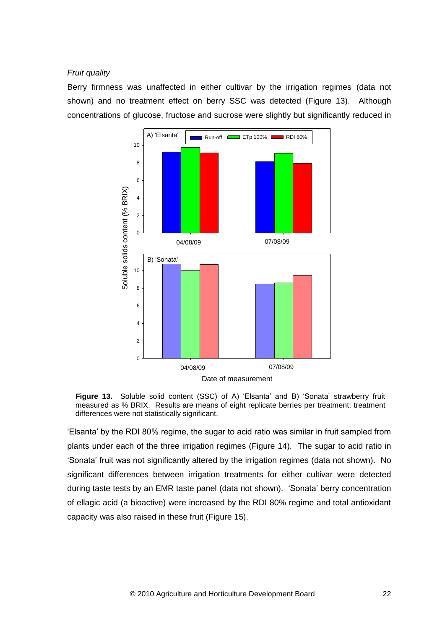### *Fruit quality*

Berry firmness was unaffected in either cultivar by the irrigation regimes (data not shown) and no treatment effect on berry SSC was detected (Figure 13). Although concentrations of glucose, fructose and sucrose were slightly but significantly reduced in



**Figure 13.** Soluble solid content (SSC) of A) 'Elsanta' and B) 'Sonata' strawberry fruit measured as % BRIX. Results are means of eight replicate berries per treatment; treatment differences were not statistically significant.

'Elsanta' by the RDI 80% regime, the sugar to acid ratio was similar in fruit sampled from plants under each of the three irrigation regimes (Figure 14). The sugar to acid ratio in 'Sonata' fruit was not significantly altered by the irrigation regimes (data not shown). No significant differences between irrigation treatments for either cultivar were detected during taste tests by an EMR taste panel (data not shown). 'Sonata' berry concentration of ellagic acid (a bioactive) were increased by the RDI 80% regime and total antioxidant capacity was also raised in these fruit (Figure 15).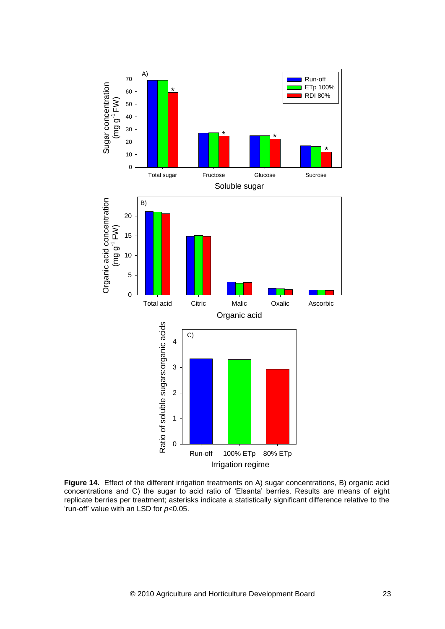

**Figure 14.** Effect of the different irrigation treatments on A) sugar concentrations, B) organic acid concentrations and C) the sugar to acid ratio of 'Elsanta' berries. Results are means of eight replicate berries per treatment; asterisks indicate a statistically significant difference relative to the 'run-off' value with an LSD for *p<*0.05.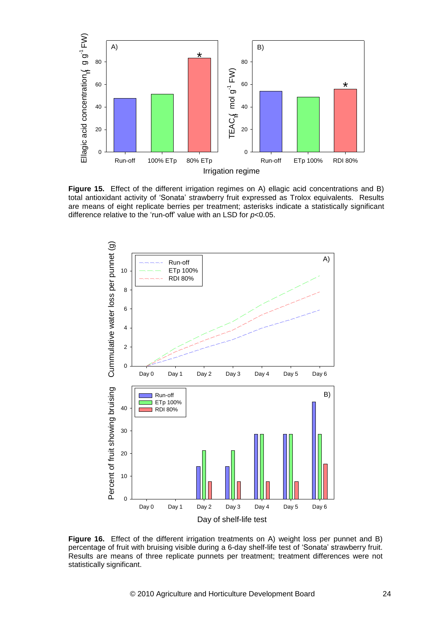

**Figure 15.** Effect of the different irrigation regimes on A) ellagic acid concentrations and B) total antioxidant activity of 'Sonata' strawberry fruit expressed as Trolox equivalents. Results are means of eight replicate berries per treatment; asterisks indicate a statistically significant difference relative to the 'run-off' value with an LSD for *p<*0.05.



**Figure 16.** Effect of the different irrigation treatments on A) weight loss per punnet and B) percentage of fruit with bruising visible during a 6-day shelf-life test of 'Sonata' strawberry fruit. Results are means of three replicate punnets per treatment; treatment differences were not statistically significant.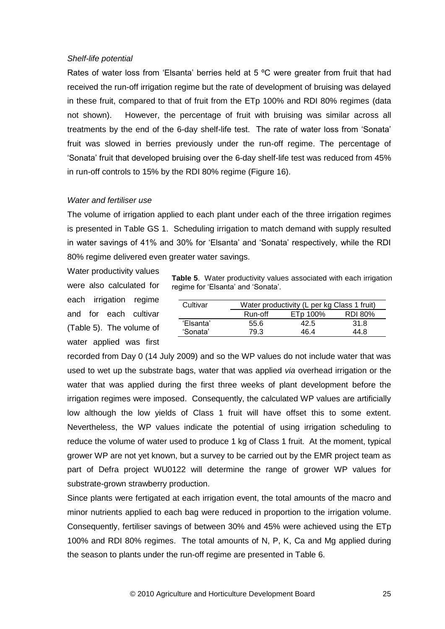#### *Shelf-life potential*

Rates of water loss from 'Elsanta' berries held at 5 °C were greater from fruit that had received the run-off irrigation regime but the rate of development of bruising was delayed in these fruit, compared to that of fruit from the ETp 100% and RDI 80% regimes (data not shown). However, the percentage of fruit with bruising was similar across all treatments by the end of the 6-day shelf-life test. The rate of water loss from 'Sonata' fruit was slowed in berries previously under the run-off regime. The percentage of 'Sonata' fruit that developed bruising over the 6-day shelf-life test was reduced from 45% in run-off controls to 15% by the RDI 80% regime (Figure 16).

# *Water and fertiliser use*

The volume of irrigation applied to each plant under each of the three irrigation regimes is presented in Table GS 1. Scheduling irrigation to match demand with supply resulted in water savings of 41% and 30% for 'Elsanta' and 'Sonata' respectively, while the RDI 80% regime delivered even greater water savings.

Water productivity values were also calculated for each irrigation regime and for each cultivar (Table 5). The volume of water applied was first

**Table 5**. Water productivity values associated with each irrigation regime for 'Elsanta' and 'Sonata'.

| Cultivar  |                                       | Water productivity (L per kg Class 1 fruit) |      |  |  |  |  |
|-----------|---------------------------------------|---------------------------------------------|------|--|--|--|--|
|           | Run-off<br>ETp 100%<br><b>RDI 80%</b> |                                             |      |  |  |  |  |
| 'Elsanta' | 55.6                                  | 42.5                                        | 31.8 |  |  |  |  |
| 'Sonata'  | 79 3                                  | 46 4                                        | 44 R |  |  |  |  |

recorded from Day 0 (14 July 2009) and so the WP values do not include water that was used to wet up the substrate bags, water that was applied *via* overhead irrigation or the water that was applied during the first three weeks of plant development before the irrigation regimes were imposed. Consequently, the calculated WP values are artificially low although the low yields of Class 1 fruit will have offset this to some extent. Nevertheless, the WP values indicate the potential of using irrigation scheduling to reduce the volume of water used to produce 1 kg of Class 1 fruit. At the moment, typical grower WP are not yet known, but a survey to be carried out by the EMR project team as part of Defra project WU0122 will determine the range of grower WP values for substrate-grown strawberry production.

Since plants were fertigated at each irrigation event, the total amounts of the macro and minor nutrients applied to each bag were reduced in proportion to the irrigation volume. Consequently, fertiliser savings of between 30% and 45% were achieved using the ETp 100% and RDI 80% regimes. The total amounts of N, P, K, Ca and Mg applied during the season to plants under the run-off regime are presented in Table 6.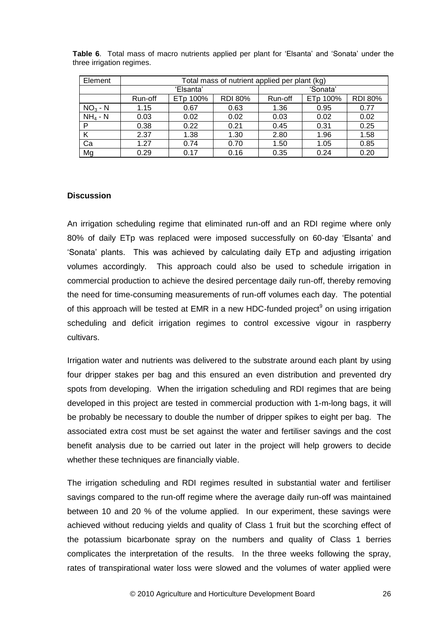| Element   | Total mass of nutrient applied per plant (kg) |      |      |          |          |                |
|-----------|-----------------------------------------------|------|------|----------|----------|----------------|
|           | 'Elsanta'                                     |      |      | 'Sonata' |          |                |
|           | ETp 100%<br><b>RDI 80%</b><br>Run-off         |      |      | Run-off  | ETp 100% | <b>RDI 80%</b> |
| $NO3 - N$ | 1.15                                          | 0.67 | 0.63 | 1.36     | 0.95     | 0.77           |
| $NH4 - N$ | 0.03                                          | 0.02 | 0.02 | 0.03     | 0.02     | 0.02           |
| P         | 0.38                                          | 0.22 | 0.21 | 0.45     | 0.31     | 0.25           |
|           | 2.37                                          | 1.38 | 1.30 | 2.80     | 1.96     | 1.58           |
| Ca        | 1.27                                          | 0.74 | 0.70 | 1.50     | 1.05     | 0.85           |
| Mg        | 0.29                                          | 0.17 | 0.16 | 0.35     | 0.24     | 0.20           |

**Table 6**. Total mass of macro nutrients applied per plant for 'Elsanta' and 'Sonata' under the three irrigation regimes.

# **Discussion**

An irrigation scheduling regime that eliminated run-off and an RDI regime where only 80% of daily ETp was replaced were imposed successfully on 60-day 'Elsanta' and 'Sonata' plants. This was achieved by calculating daily ETp and adjusting irrigation volumes accordingly. This approach could also be used to schedule irrigation in commercial production to achieve the desired percentage daily run-off, thereby removing the need for time-consuming measurements of run-off volumes each day. The potential of this approach will be tested at EMR in a new HDC-funded project<sup>9</sup> on using irrigation scheduling and deficit irrigation regimes to control excessive vigour in raspberry cultivars.

Irrigation water and nutrients was delivered to the substrate around each plant by using four dripper stakes per bag and this ensured an even distribution and prevented dry spots from developing. When the irrigation scheduling and RDI regimes that are being developed in this project are tested in commercial production with 1-m-long bags, it will be probably be necessary to double the number of dripper spikes to eight per bag. The associated extra cost must be set against the water and fertiliser savings and the cost benefit analysis due to be carried out later in the project will help growers to decide whether these techniques are financially viable.

The irrigation scheduling and RDI regimes resulted in substantial water and fertiliser savings compared to the run-off regime where the average daily run-off was maintained between 10 and 20 % of the volume applied. In our experiment, these savings were achieved without reducing yields and quality of Class 1 fruit but the scorching effect of the potassium bicarbonate spray on the numbers and quality of Class 1 berries complicates the interpretation of the results. In the three weeks following the spray, rates of transpirational water loss were slowed and the volumes of water applied were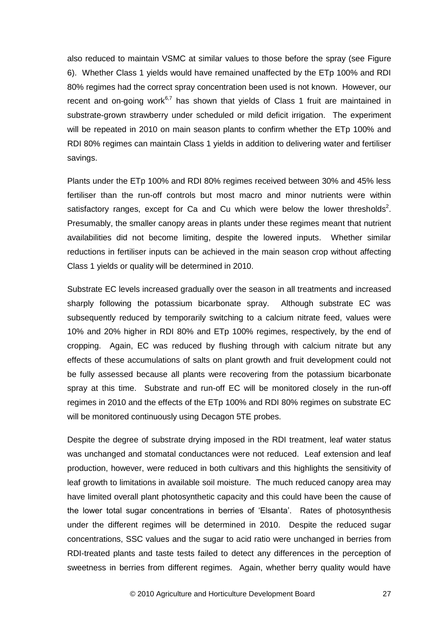also reduced to maintain VSMC at similar values to those before the spray (see Figure 6). Whether Class 1 yields would have remained unaffected by the ETp 100% and RDI 80% regimes had the correct spray concentration been used is not known. However, our recent and on-going work $6.7$  has shown that yields of Class 1 fruit are maintained in substrate-grown strawberry under scheduled or mild deficit irrigation. The experiment will be repeated in 2010 on main season plants to confirm whether the ETp 100% and RDI 80% regimes can maintain Class 1 yields in addition to delivering water and fertiliser savings.

Plants under the ETp 100% and RDI 80% regimes received between 30% and 45% less fertiliser than the run-off controls but most macro and minor nutrients were within satisfactory ranges, except for Ca and Cu which were below the lower thresholds<sup>2</sup>. Presumably, the smaller canopy areas in plants under these regimes meant that nutrient availabilities did not become limiting, despite the lowered inputs. Whether similar reductions in fertiliser inputs can be achieved in the main season crop without affecting Class 1 yields or quality will be determined in 2010.

Substrate EC levels increased gradually over the season in all treatments and increased sharply following the potassium bicarbonate spray. Although substrate EC was subsequently reduced by temporarily switching to a calcium nitrate feed, values were 10% and 20% higher in RDI 80% and ETp 100% regimes, respectively, by the end of cropping. Again, EC was reduced by flushing through with calcium nitrate but any effects of these accumulations of salts on plant growth and fruit development could not be fully assessed because all plants were recovering from the potassium bicarbonate spray at this time. Substrate and run-off EC will be monitored closely in the run-off regimes in 2010 and the effects of the ETp 100% and RDI 80% regimes on substrate EC will be monitored continuously using Decagon 5TE probes.

Despite the degree of substrate drying imposed in the RDI treatment, leaf water status was unchanged and stomatal conductances were not reduced. Leaf extension and leaf production, however, were reduced in both cultivars and this highlights the sensitivity of leaf growth to limitations in available soil moisture. The much reduced canopy area may have limited overall plant photosynthetic capacity and this could have been the cause of the lower total sugar concentrations in berries of 'Elsanta'. Rates of photosynthesis under the different regimes will be determined in 2010. Despite the reduced sugar concentrations, SSC values and the sugar to acid ratio were unchanged in berries from RDI-treated plants and taste tests failed to detect any differences in the perception of sweetness in berries from different regimes. Again, whether berry quality would have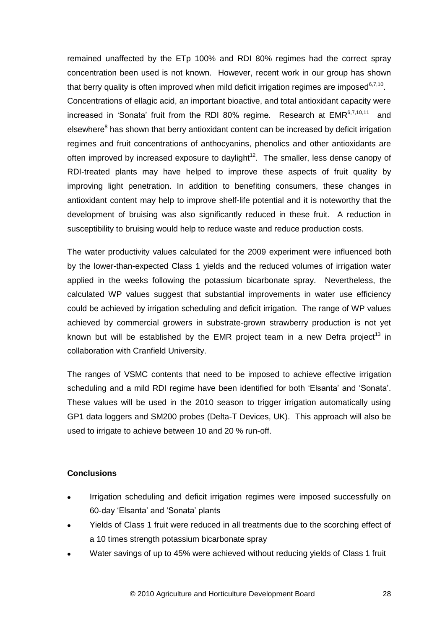remained unaffected by the ETp 100% and RDI 80% regimes had the correct spray concentration been used is not known. However, recent work in our group has shown that berry quality is often improved when mild deficit irrigation regimes are imposed $6,7,10$ . Concentrations of ellagic acid, an important bioactive, and total antioxidant capacity were increased in 'Sonata' fruit from the RDI 80% regime. Research at EMR<sup>6,7,10,11</sup> and elsewhere<sup>8</sup> has shown that berry antioxidant content can be increased by deficit irrigation regimes and fruit concentrations of anthocyanins, phenolics and other antioxidants are often improved by increased exposure to daylight<sup>12</sup>. The smaller, less dense canopy of RDI-treated plants may have helped to improve these aspects of fruit quality by improving light penetration. In addition to benefiting consumers, these changes in antioxidant content may help to improve shelf-life potential and it is noteworthy that the development of bruising was also significantly reduced in these fruit. A reduction in susceptibility to bruising would help to reduce waste and reduce production costs.

The water productivity values calculated for the 2009 experiment were influenced both by the lower-than-expected Class 1 yields and the reduced volumes of irrigation water applied in the weeks following the potassium bicarbonate spray. Nevertheless, the calculated WP values suggest that substantial improvements in water use efficiency could be achieved by irrigation scheduling and deficit irrigation. The range of WP values achieved by commercial growers in substrate-grown strawberry production is not yet known but will be established by the EMR project team in a new Defra project<sup>13</sup> in collaboration with Cranfield University.

The ranges of VSMC contents that need to be imposed to achieve effective irrigation scheduling and a mild RDI regime have been identified for both 'Elsanta' and 'Sonata'. These values will be used in the 2010 season to trigger irrigation automatically using GP1 data loggers and SM200 probes (Delta-T Devices, UK). This approach will also be used to irrigate to achieve between 10 and 20 % run-off.

# **Conclusions**

- Irrigation scheduling and deficit irrigation regimes were imposed successfully on 60-day 'Elsanta' and 'Sonata' plants
- Yields of Class 1 fruit were reduced in all treatments due to the scorching effect of  $\bullet$ a 10 times strength potassium bicarbonate spray
- Water savings of up to 45% were achieved without reducing yields of Class 1 fruit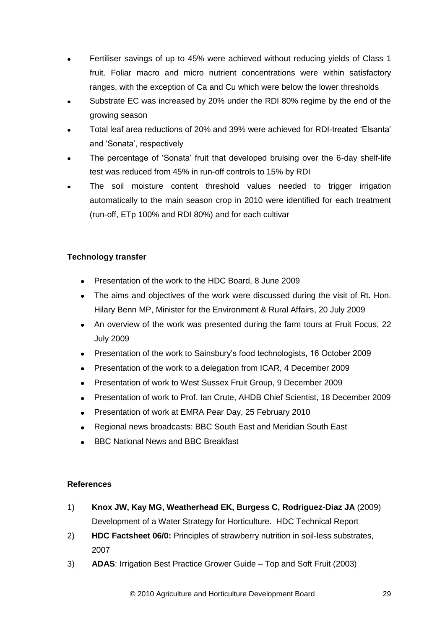- Fertiliser savings of up to 45% were achieved without reducing yields of Class 1 fruit. Foliar macro and micro nutrient concentrations were within satisfactory ranges, with the exception of Ca and Cu which were below the lower thresholds
- Substrate EC was increased by 20% under the RDI 80% regime by the end of the growing season
- Total leaf area reductions of 20% and 39% were achieved for RDI-treated 'Elsanta' and 'Sonata', respectively
- The percentage of 'Sonata' fruit that developed bruising over the 6-day shelf-life test was reduced from 45% in run-off controls to 15% by RDI
- The soil moisture content threshold values needed to trigger irrigation automatically to the main season crop in 2010 were identified for each treatment (run-off, ETp 100% and RDI 80%) and for each cultivar

# **Technology transfer**

- Presentation of the work to the HDC Board, 8 June 2009
- The aims and objectives of the work were discussed during the visit of Rt. Hon. Hilary Benn MP, Minister for the Environment & Rural Affairs, 20 July 2009
- An overview of the work was presented during the farm tours at Fruit Focus, 22 July 2009
- Presentation of the work to Sainsbury's food technologists, 16 October 2009
- Presentation of the work to a delegation from ICAR, 4 December 2009
- Presentation of work to West Sussex Fruit Group, 9 December 2009  $\sim$
- Presentation of work to Prof. Ian Crute, AHDB Chief Scientist, 18 December 2009  $\bullet$
- Presentation of work at EMRA Pear Day, 25 February 2010
- Regional news broadcasts: BBC South East and Meridian South East
- BBC National News and BBC Breakfast

# **References**

- 1) **Knox JW, Kay MG, Weatherhead EK, Burgess C, Rodriguez-Diaz JA** (2009) Development of a Water Strategy for Horticulture. HDC Technical Report
- 2) **HDC Factsheet 06/0:** Principles of strawberry nutrition in soil-less substrates, 2007
- 3) **ADAS**: Irrigation Best Practice Grower Guide Top and Soft Fruit (2003)